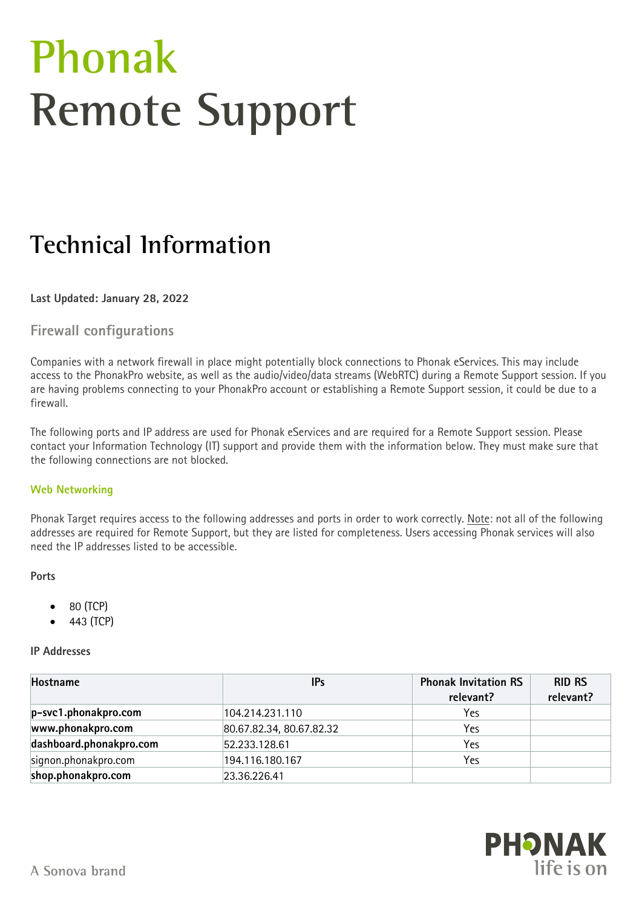# **Phonak Remote Support**

# **Technical Information**

#### **Last Updated: January 28, 2022**

## **Firewall configurations**

Companies with a network firewall in place might potentially block connections to Phonak eServices. This may include access to the PhonakPro website, as well as the audio/video/data streams (WebRTC) during a Remote Support session. If you are having problems connecting to your PhonakPro account or establishing a Remote Support session, it could be due to a firewall.

The following ports and IP address are used for Phonak eServices and are required for a Remote Support session. Please contact your Information Technology (IT) support and provide them with the information below. They must make sure that the following connections are not blocked.

#### **Web Networking**

Phonak Target requires access to the following addresses and ports in order to work correctly. Note: not all of the following addresses are required for Remote Support, but they are listed for completeness. Users accessing Phonak services will also need the IP addresses listed to be accessible.

#### **Ports**

- 80 (TCP)
- 443 (TCP)

#### **IP Addresses**

| Hostname                | <b>IPs</b>               | <b>Phonak Invitation RS</b><br>relevant? | <b>RID RS</b><br>relevant? |
|-------------------------|--------------------------|------------------------------------------|----------------------------|
| p-svc1.phonakpro.com    | 104.214.231.110          | Yes                                      |                            |
| www.phonakpro.com       | 80.67.82.34, 80.67.82.32 | Yes                                      |                            |
| dashboard.phonakpro.com | 52.233.128.61            | Yes                                      |                            |
| signon.phonakpro.com    | 194.116.180.167          | Yes                                      |                            |
| shop.phonakpro.com      | 23.36.226.41             |                                          |                            |

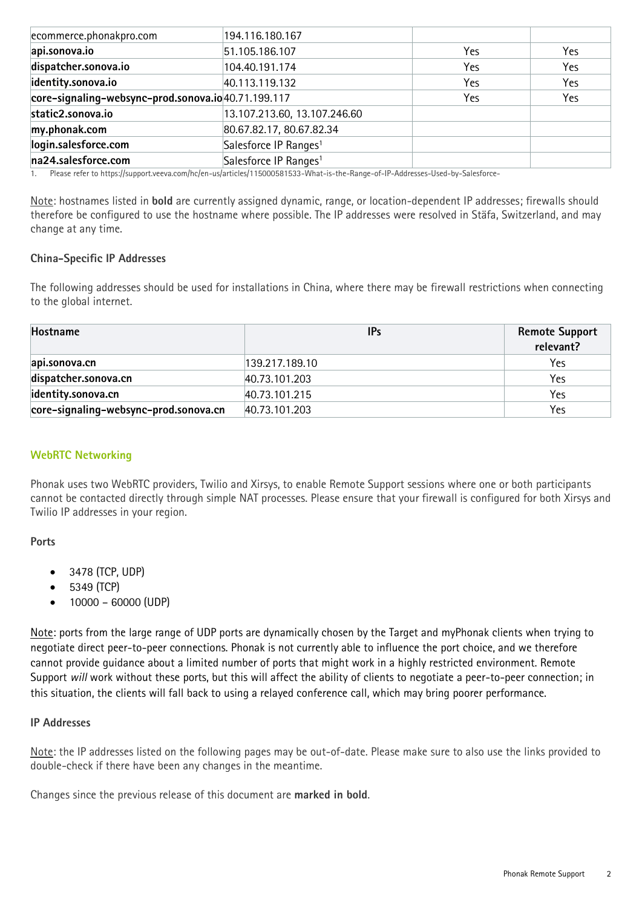| ecommerce.phonakpro.com                             | 194.116.180.167                   |     |     |
|-----------------------------------------------------|-----------------------------------|-----|-----|
| api.sonova.io                                       | 51.105.186.107                    | Yes | Yes |
| dispatcher.sonova.io                                | 104.40.191.174                    | Yes | Yes |
| identity.sonova.io                                  | 40.113.119.132                    | Yes | Yes |
| core-signaling-websync-prod.sonova.io 40.71.199.117 |                                   | Yes | Yes |
| static2.sonova.io                                   | 13.107.213.60, 13.107.246.60      |     |     |
| my.phonak.com                                       | 80.67.82.17, 80.67.82.34          |     |     |
| login.salesforce.com                                | Salesforce IP Ranges <sup>1</sup> |     |     |
| na24.salesforce.com                                 | Salesforce IP Ranges <sup>1</sup> |     |     |

1. Please refer to https://support.veeva.com/hc/en-us/articles/115000581533-What-is-the-Range-of-IP-Addresses-Used-by-Salesforce-

Note: hostnames listed in **bold** are currently assigned dynamic, range, or location-dependent IP addresses; firewalls should therefore be configured to use the hostname where possible. The IP addresses were resolved in Stäfa, Switzerland, and may change at any time.

#### **China-Specific IP Addresses**

The following addresses should be used for installations in China, where there may be firewall restrictions when connecting to the global internet.

| Hostname                              | <b>IPs</b>     | <b>Remote Support</b><br>relevant? |
|---------------------------------------|----------------|------------------------------------|
| api.sonova.cn                         | 139.217.189.10 | Yes                                |
| dispatcher.sonova.cn                  | 40.73.101.203  | Yes                                |
| identity.sonova.cn                    | 40.73.101.215  | Yes                                |
| core-signaling-websync-prod.sonova.cn | 40.73.101.203  | Yes                                |

#### **WebRTC Networking**

Phonak uses two WebRTC providers, Twilio and Xirsys, to enable Remote Support sessions where one or both participants cannot be contacted directly through simple NAT processes. Please ensure that your firewall is configured for both Xirsys and Twilio IP addresses in your region.

#### **Ports**

- 3478 (TCP, UDP)
- 5349 (TCP)
- 10000 60000 (UDP)

Note: ports from the large range of UDP ports are dynamically chosen by the Target and myPhonak clients when trying to negotiate direct peer-to-peer connections. Phonak is not currently able to influence the port choice, and we therefore cannot provide guidance about a limited number of ports that might work in a highly restricted environment. Remote Support *will* work without these ports, but this will affect the ability of clients to negotiate a peer-to-peer connection; in this situation, the clients will fall back to using a relayed conference call, which may bring poorer performance.

#### **IP Addresses**

Note: the IP addresses listed on the following pages may be out-of-date. Please make sure to also use the links provided to double-check if there have been any changes in the meantime.

Changes since the previous release of this document are **marked in bold**.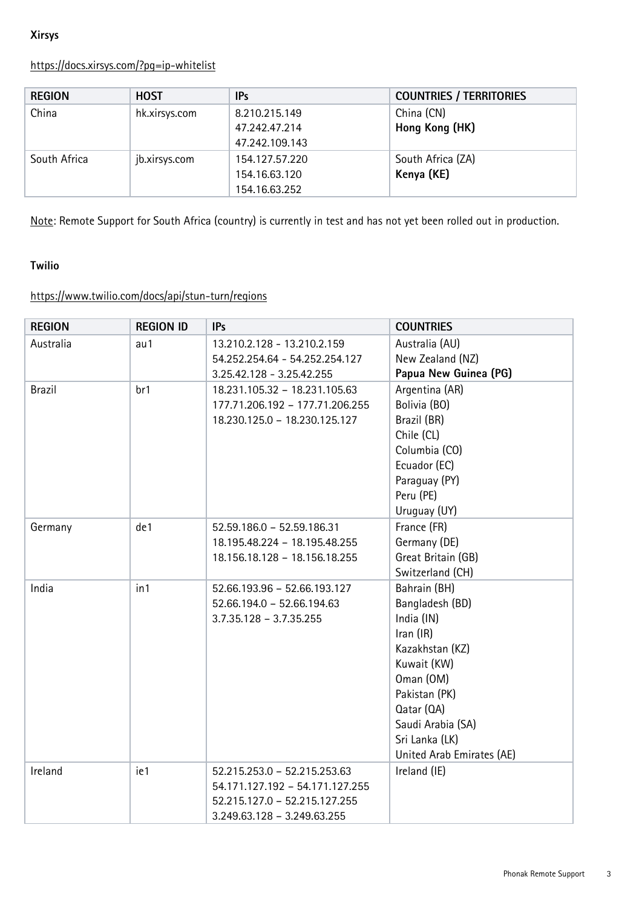### **Xirsys**

# <https://docs.xirsys.com/?pg=ip-whitelist>

| <b>REGION</b> | <b>HOST</b>   | IP <sub>s</sub> | <b>COUNTRIES / TERRITORIES</b> |
|---------------|---------------|-----------------|--------------------------------|
| China         | hk.xirsys.com | 8.210.215.149   | China (CN)                     |
|               |               | 47.242.47.214   | Hong Kong (HK)                 |
|               |               | 47.242.109.143  |                                |
| South Africa  | jb.xirsys.com | 154.127.57.220  | South Africa (ZA)              |
|               |               | 154.16.63.120   | Kenya (KE)                     |
|               |               | 154.16.63.252   |                                |

Note: Remote Support for South Africa (country) is currently in test and has not yet been rolled out in production.

#### **Twilio**

# <https://www.twilio.com/docs/api/stun-turn/regions>

| <b>REGION</b> | <b>REGION ID</b> | <b>IPs</b>                                                                                                                      | <b>COUNTRIES</b>                                                                                                                                                                                               |
|---------------|------------------|---------------------------------------------------------------------------------------------------------------------------------|----------------------------------------------------------------------------------------------------------------------------------------------------------------------------------------------------------------|
| Australia     | au 1             | 13.210.2.128 - 13.210.2.159<br>54.252.254.64 - 54.252.254.127<br>3.25.42.128 - 3.25.42.255                                      | Australia (AU)<br>New Zealand (NZ)<br>Papua New Guinea (PG)                                                                                                                                                    |
| <b>Brazil</b> | br1              | 18.231.105.32 - 18.231.105.63<br>177.71.206.192 - 177.71.206.255<br>18.230.125.0 - 18.230.125.127                               | Argentina (AR)<br>Bolivia (BO)<br>Brazil (BR)<br>Chile (CL)<br>Columbia (CO)<br>Ecuador (EC)<br>Paraguay (PY)<br>Peru (PE)<br>Uruguay (UY)                                                                     |
| Germany       | de1              | 52.59.186.0 - 52.59.186.31<br>18.195.48.224 - 18.195.48.255<br>18.156.18.128 - 18.156.18.255                                    | France (FR)<br>Germany (DE)<br>Great Britain (GB)<br>Switzerland (CH)                                                                                                                                          |
| India         | in1              | 52.66.193.96 - 52.66.193.127<br>52.66.194.0 - 52.66.194.63<br>$3.7.35.128 - 3.7.35.255$                                         | Bahrain (BH)<br>Bangladesh (BD)<br>India (IN)<br>Iran $(IR)$<br>Kazakhstan (KZ)<br>Kuwait (KW)<br>Oman (OM)<br>Pakistan (PK)<br>Qatar (QA)<br>Saudi Arabia (SA)<br>Sri Lanka (LK)<br>United Arab Emirates (AE) |
| Ireland       | ie1              | 52.215.253.0 - 52.215.253.63<br>54.171.127.192 - 54.171.127.255<br>52.215.127.0 - 52.215.127.255<br>3.249.63.128 - 3.249.63.255 | Ireland (IE)                                                                                                                                                                                                   |